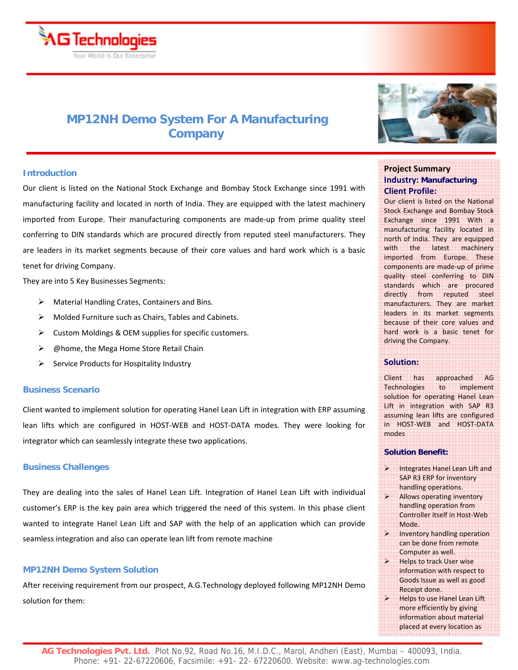

# **MP12NH Demo System For A Manufacturing Company**

# **Introduction**

Our client is listed on the National Stock Exchange and Bombay Stock Exchange since 1991 with manufacturing facility and located in north of India. They are equipped with the latest machinery imported from Europe. Their manufacturing components are made-up from prime quality steel conferring to DIN standards which are procured directly from reputed steel manufacturers. They are leaders in its market segments because of their core values and hard work which is a basic tenet for driving Company.

They are into 5 Key Businesses Segments:

- ¾ Material Handling Crates, Containers and Bins.
- $\triangleright$  Molded Furniture such as Chairs, Tables and Cabinets.
- $\triangleright$  Custom Moldings & OEM supplies for specific customers.
- ¾ @home, the Mega Home Store Retail Chain
- $\triangleright$  Service Products for Hospitality Industry

## **Business Scenario**

Client wanted to implement solution for operating Hanel Lean Lift in integration with ERP assuming lean lifts which are configured in HOST‐WEB and HOST‐DATA modes. They were looking for integrator which can seamlessly integrate these two applications.

## **Business Challenges**

They are dealing into the sales of Hanel Lean Lift. Integration of Hanel Lean Lift with individual customer's ERP is the key pain area which triggered the need of this system. In this phase client wanted to integrate Hanel Lean Lift and SAP with the help of an application which can provide seamless integration and also can operate lean lift from remote machine

## **MP12NH Demo System Solution**

After receiving requirement from our prospect, A.G.Technology deployed following MP12NH Demo solution for them:



# **Project Summary Industry: Manufacturing Client Profile:**

Our client is listed on the National Stock Exchange and Bombay Stock Exchange since 1991 With a manufacturing facility located in north of India. They are equipped with the latest machinery imported from Europe. These components are made‐up of prime quality steel conferring to DIN standards which are procured directly from reputed steel manufacturers. They are market leaders in its market segments because of their core values and hard work is a basic tenet for driving the Company.

## **Solution:**

Client has approached AG Technologies to implement solution for operating Hanel Lean Lift in integration with SAP R3 assuming lean lifts are configured in HOST‐WEB and HOST‐DATA modes

# **Solution Benefit:**

- $\triangleright$  Integrates Hanel Lean Lift and SAP R3 ERP for inventory handling operations.
- Allows operating inventory handling operation from Controller itself in Host‐Web Mode.
- Inventory handling operation can be done from remote Computer as well.
- $\triangleright$  Helps to track User wise information with respect to Goods Issue as well as good Receipt done.
- $\triangleright$  Helps to use Hanel Lean Lift more efficiently by giving information about material placed at every location as

ll fan de de de de de de de de de de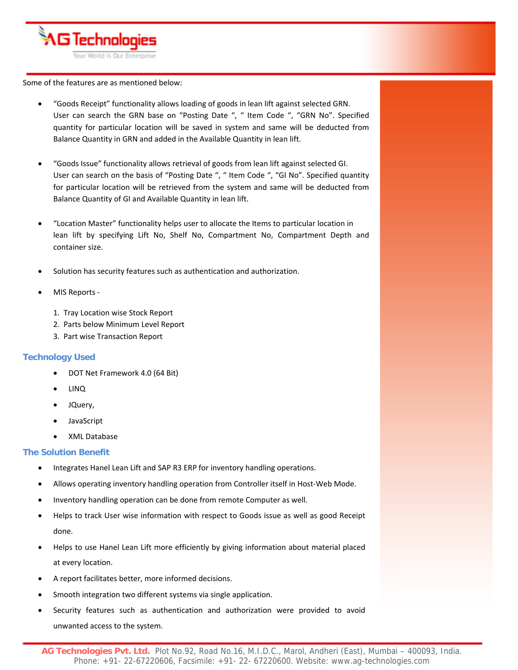

Some of the features are as mentioned below:

- "Goods Receipt" functionality allows loading of goods in lean lift against selected GRN. User can search the GRN base on "Posting Date ", " Item Code ", "GRN No". Specified quantity for particular location will be saved in system and same will be deducted from Balance Quantity in GRN and added in the Available Quantity in lean lift.
- "Goods Issue" functionality allows retrieval of goods from lean lift against selected GI. User can search on the basis of "Posting Date ", " Item Code ", "GI No". Specified quantity for particular location will be retrieved from the system and same will be deducted from Balance Quantity of GI and Available Quantity in lean lift.
- "Location Master" functionality helps user to allocate the Items to particular location in lean lift by specifying Lift No, Shelf No, Compartment No, Compartment Depth and container size.
- Solution has security features such as authentication and authorization.
- MIS Reports ‐
	- 1. Tray Location wise Stock Report
	- 2. Parts below Minimum Level Report
	- 3. Part wise Transaction Report

# **Technology Used**

- DOT Net Framework 4.0 (64 Bit)
- LINQ
- JQuery,
- JavaScript
- XML Database

# **The Solution Benefit**

- Integrates Hanel Lean Lift and SAP R3 ERP for inventory handling operations.
- Allows operating inventory handling operation from Controller itself in Host-Web Mode.
- Inventory handling operation can be done from remote Computer as well.
- Helps to track User wise information with respect to Goods issue as well as good Receipt done.
- Helps to use Hanel Lean Lift more efficiently by giving information about material placed at every location.
- A report facilitates better, more informed decisions.
- Smooth integration two different systems via single application.
- Security features such as authentication and authorization were provided to avoid unwanted access to the system.